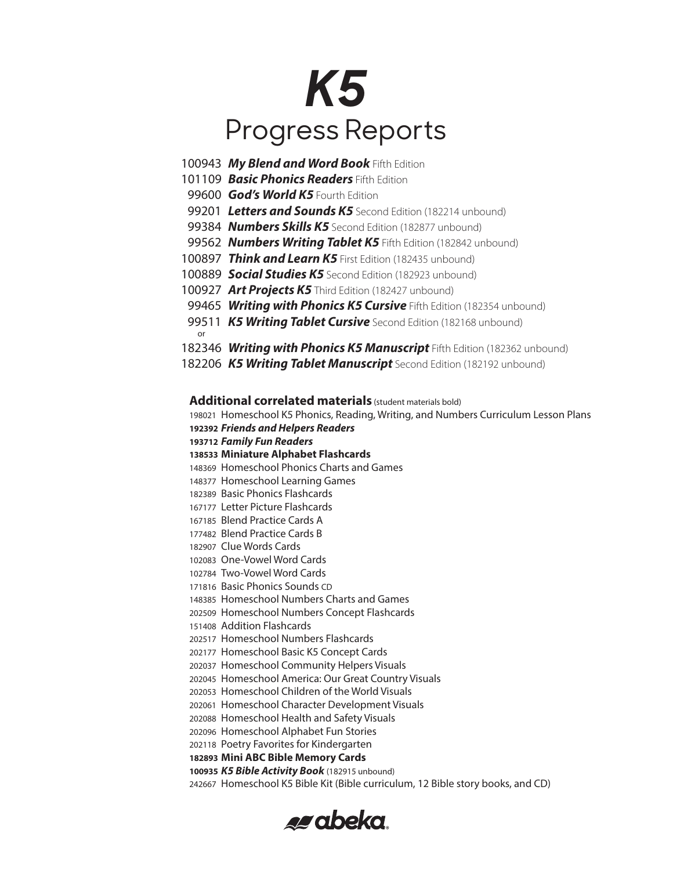# *K5* Progress Reports

- *My Blend and Word Book* Fifth Edition
- *Basic Phonics Readers* Fifth Edition
- **God's World K5** Fourth Edition
- *Letters and Sounds K5* Second Edition (182214 unbound)
- *Numbers Skills K5* Second Edition (182877 unbound)
- *Numbers Writing Tablet K5* Fifth Edition (182842 unbound)
- *Think and Learn K5* First Edition (182435 unbound)
- *Social Studies K5* Second Edition (182923 unbound)
- *Art Projects K5* Third Edition (182427 unbound)
- *Writing with Phonics K5 Cursive* Fifth Edition (182354 unbound)
- *K5 Writing Tablet Cursive* Second Edition (182168 unbound) or
- *Writing with Phonics K5 Manuscript* Fifth Edition (182362 unbound)
- *K5 Writing Tablet Manuscript* Second Edition (182192 unbound)

**Additional correlated materials** (student materials bold)

 Homeschool K5 Phonics, Reading, Writing, and Numbers Curriculum Lesson Plans *Friends and Helpers Readers Family Fun Readers* **Miniature Alphabet Flashcards** Homeschool Phonics Charts and Games Homeschool Learning Games Basic Phonics Flashcards Letter Picture Flashcards Blend Practice Cards A Blend Practice Cards B Clue Words Cards One-Vowel Word Cards Two-Vowel Word Cards Basic Phonics Sounds CD Homeschool Numbers Charts and Games Homeschool Numbers Concept Flashcards Addition Flashcards Homeschool Numbers Flashcards Homeschool Basic K5 Concept Cards Homeschool Community Helpers Visuals Homeschool America: Our Great Country Visuals Homeschool Children of the World Visuals Homeschool Character Development Visuals Homeschool Health and Safety Visuals Homeschool Alphabet Fun Stories Poetry Favorites for Kindergarten **Mini ABC Bible Memory Cards** *K5 Bible Activity Book* (182915 unbound) Homeschool K5 Bible Kit (Bible curriculum, 12 Bible story books, and CD)

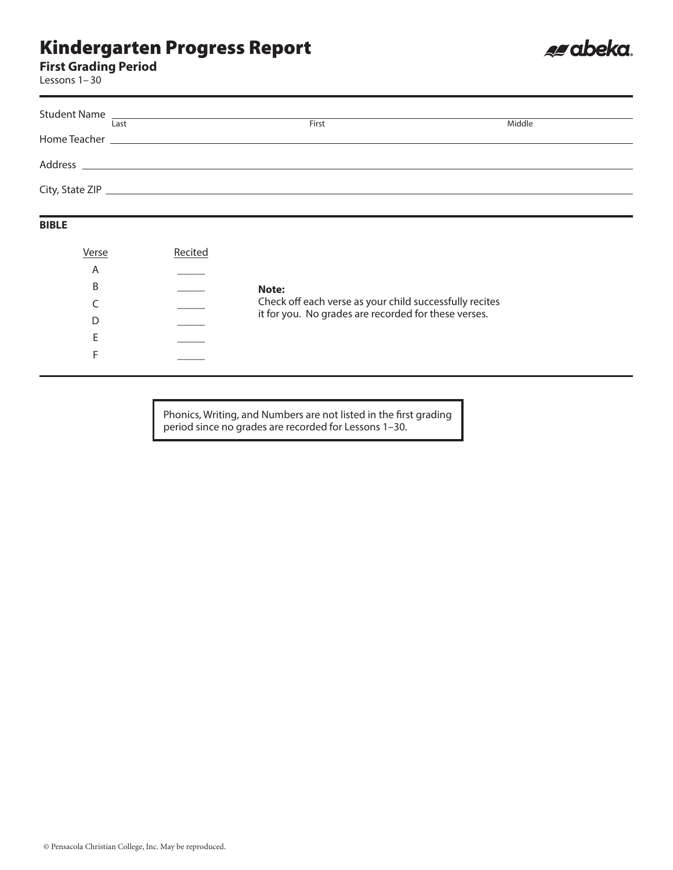**First Grading Period**

Lessons 1–30

| Student Name <u>experience</u> and the student of the student of the student of the student of the student of the student |       |        |
|---------------------------------------------------------------------------------------------------------------------------|-------|--------|
| Last                                                                                                                      | First | Middle |
|                                                                                                                           |       |        |
|                                                                                                                           |       |        |
|                                                                                                                           |       |        |
|                                                                                                                           |       |        |
|                                                                                                                           |       |        |

es abeka.

#### **BIBLE**

| Verse | Recited |                                                         |
|-------|---------|---------------------------------------------------------|
| A     |         |                                                         |
| B     |         | Note:                                                   |
|       |         | Check off each verse as your child successfully recites |
|       |         | it for you. No grades are recorded for these verses.    |
|       |         |                                                         |
|       |         |                                                         |
|       |         |                                                         |

Phonics, Writing, and Numbers are not listed in the first grading period since no grades are recorded for Lessons 1–30.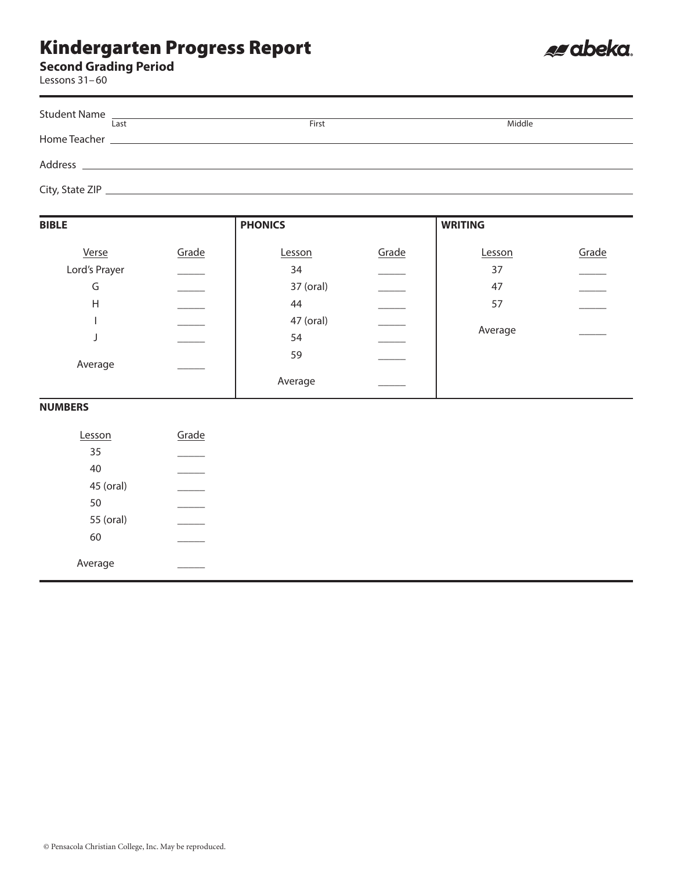#### **Second Grading Period**

Lessons 31–60

| Student Name |      |       |        |
|--------------|------|-------|--------|
|              | Last | First | Middle |
| Home Teacher |      |       |        |
| Address      |      |       |        |

es abeka.

City, State ZIP

| <b>BIBLE</b>  |       | <b>PHONICS</b> |                          | <b>WRITING</b> |       |
|---------------|-------|----------------|--------------------------|----------------|-------|
| Verse         | Grade | Lesson         | Grade                    | Lesson         | Grade |
| Lord's Prayer |       | 34             | $\overline{\phantom{a}}$ | 37             |       |
| G             |       | 37 (oral)      | $\overline{\phantom{a}}$ | 47             |       |
| Η             |       | 44             |                          | 57             |       |
|               |       | 47 (oral)      |                          |                |       |
|               |       | 54             |                          | Average        |       |
|               |       | 59             |                          |                |       |
| Average       |       | Average        |                          |                |       |

#### **NUMBERS**

| Lesson    | Grade |
|-----------|-------|
| 35        |       |
| 40        |       |
| 45 (oral) |       |
| 50        |       |
| 55 (oral) |       |
| 60        |       |
| Average   |       |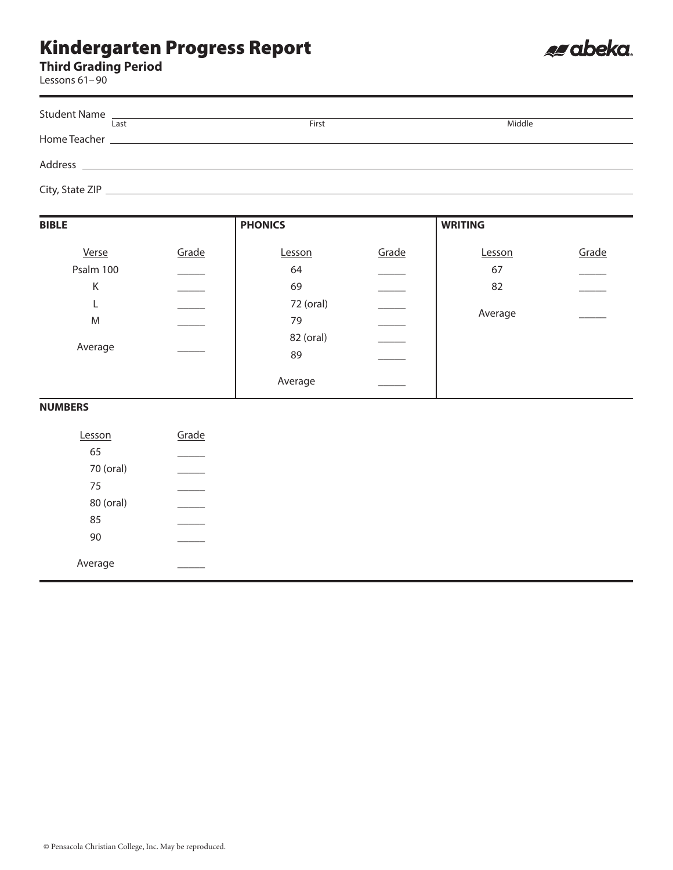

Lessons 61–90

| <b>Student Name</b> | <u> 1989 - Johann Harry Harry Harry Harry Harry Harry Harry Harry Harry Harry Harry Harry Harry Harry Harry Harry</u> |       |        |
|---------------------|-----------------------------------------------------------------------------------------------------------------------|-------|--------|
|                     | Last                                                                                                                  | First | Middle |
|                     | Home Teacher <b>Example 2018</b>                                                                                      |       |        |
|                     |                                                                                                                       |       |        |
|                     |                                                                                                                       |       |        |

es abeka.

| <b>BIBLE</b> |       | <b>PHONICS</b> |       | <b>WRITING</b> |       |  |
|--------------|-------|----------------|-------|----------------|-------|--|
| Verse        | Grade | Lesson         | Grade | Lesson         | Grade |  |
| Psalm 100    |       | 64             |       | 67             |       |  |
| K            |       | 69             |       | 82             |       |  |
| L.           |       | 72 (oral)      |       |                |       |  |
| M            |       | 79             |       | Average        |       |  |
|              |       | 82 (oral)      |       |                |       |  |
| Average      |       | 89             |       |                |       |  |
|              |       | Average        |       |                |       |  |

#### **NUMBERS**

| Lesson    | Grade |
|-----------|-------|
| 65        |       |
| 70 (oral) |       |
| 75        |       |
| 80 (oral) |       |
| 85        |       |
| 90        |       |
| Average   |       |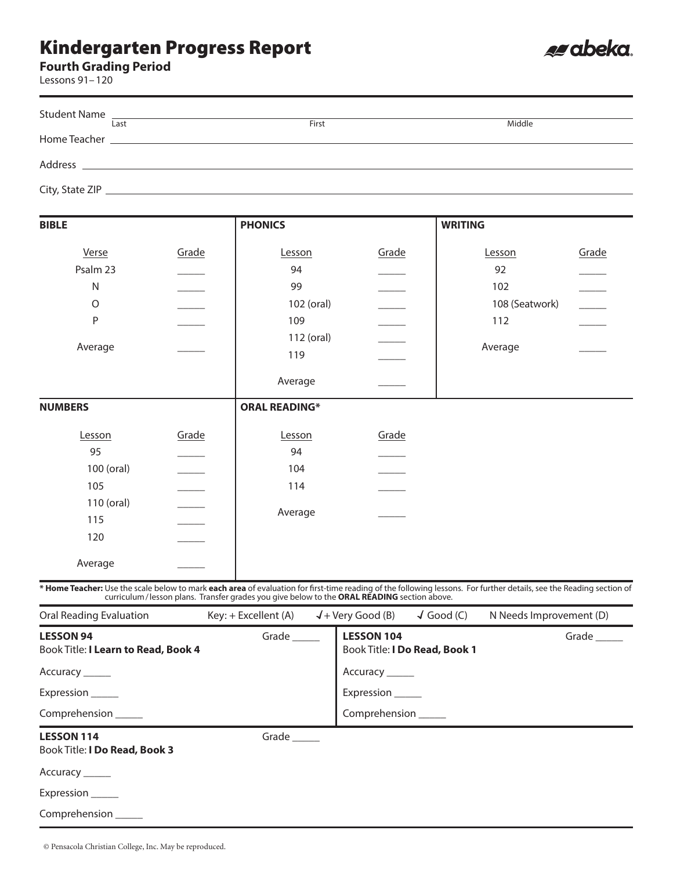#### **Fourth Grading Period**

Lessons 91–120

| <b>Student Name</b><br>Last                                                                                                                                          |                          | First                                                                                      |                          |                    | Middle                  |                          |
|----------------------------------------------------------------------------------------------------------------------------------------------------------------------|--------------------------|--------------------------------------------------------------------------------------------|--------------------------|--------------------|-------------------------|--------------------------|
|                                                                                                                                                                      |                          |                                                                                            |                          |                    |                         |                          |
|                                                                                                                                                                      |                          |                                                                                            |                          |                    |                         |                          |
|                                                                                                                                                                      |                          |                                                                                            |                          |                    |                         |                          |
| <b>BIBLE</b>                                                                                                                                                         |                          | <b>PHONICS</b>                                                                             |                          | <b>WRITING</b>     |                         |                          |
| Verse                                                                                                                                                                | Grade                    | Lesson                                                                                     | Grade                    |                    | Lesson                  | Grade                    |
| Psalm 23                                                                                                                                                             |                          | 94                                                                                         |                          |                    | 92                      |                          |
| $\mathsf{N}$                                                                                                                                                         |                          | 99                                                                                         |                          |                    | 102                     |                          |
| $\circ$                                                                                                                                                              |                          | 102 (oral)                                                                                 |                          |                    | 108 (Seatwork)          | $\overline{\phantom{a}}$ |
| P                                                                                                                                                                    |                          | 109                                                                                        |                          |                    | 112                     |                          |
| Average                                                                                                                                                              |                          | 112 (oral)                                                                                 |                          |                    |                         |                          |
|                                                                                                                                                                      |                          | 119                                                                                        | $\overline{\phantom{a}}$ |                    | Average                 |                          |
|                                                                                                                                                                      |                          | Average                                                                                    |                          |                    |                         |                          |
| <b>NUMBERS</b>                                                                                                                                                       |                          | <b>ORAL READING*</b>                                                                       |                          |                    |                         |                          |
| Lesson                                                                                                                                                               | Grade                    | Lesson                                                                                     | Grade                    |                    |                         |                          |
| 95                                                                                                                                                                   |                          | 94                                                                                         |                          |                    |                         |                          |
| 100 (oral)                                                                                                                                                           |                          | 104                                                                                        |                          |                    |                         |                          |
| 105                                                                                                                                                                  |                          | 114                                                                                        |                          |                    |                         |                          |
| 110 (oral)                                                                                                                                                           | $\overline{\phantom{a}}$ |                                                                                            |                          |                    |                         |                          |
| 115                                                                                                                                                                  |                          | Average                                                                                    |                          |                    |                         |                          |
| 120                                                                                                                                                                  |                          |                                                                                            |                          |                    |                         |                          |
| Average                                                                                                                                                              |                          |                                                                                            |                          |                    |                         |                          |
| * Home Teacher: Use the scale below to mark each area of evaluation for first-time reading of the following lessons. For further details, see the Reading section of |                          | curriculum/lesson plans. Transfer grades you give below to the ORAL READING section above. |                          |                    |                         |                          |
| <b>Oral Reading Evaluation</b>                                                                                                                                       |                          | Key: + Excellent (A)                                                                       | $\sqrt{+}$ Very Good (B) | $\sqrt{}$ Good (C) | N Needs Improvement (D) |                          |
| <b>LESSON 94</b><br>Grade $\_\_\_\_\_\$<br>Book Title: I Learn to Read, Book 4                                                                                       |                          | <b>LESSON 104</b><br>Book Title: I Do Read, Book 1                                         |                          |                    | Grade _____             |                          |
| Accuracy ______                                                                                                                                                      |                          |                                                                                            | Accuracy ______          |                    |                         |                          |
| Expression                                                                                                                                                           |                          |                                                                                            | Expression               |                    |                         |                          |

e abeka.

Comprehension \_\_\_\_\_

#### **LESSON 114** Grade \_\_\_\_\_\_

#### Book Title: **I Do Read, Book 3**

Comprehension \_\_\_\_\_

Accuracy \_\_\_\_\_\_

Expression \_\_\_\_\_

Comprehension \_\_\_\_\_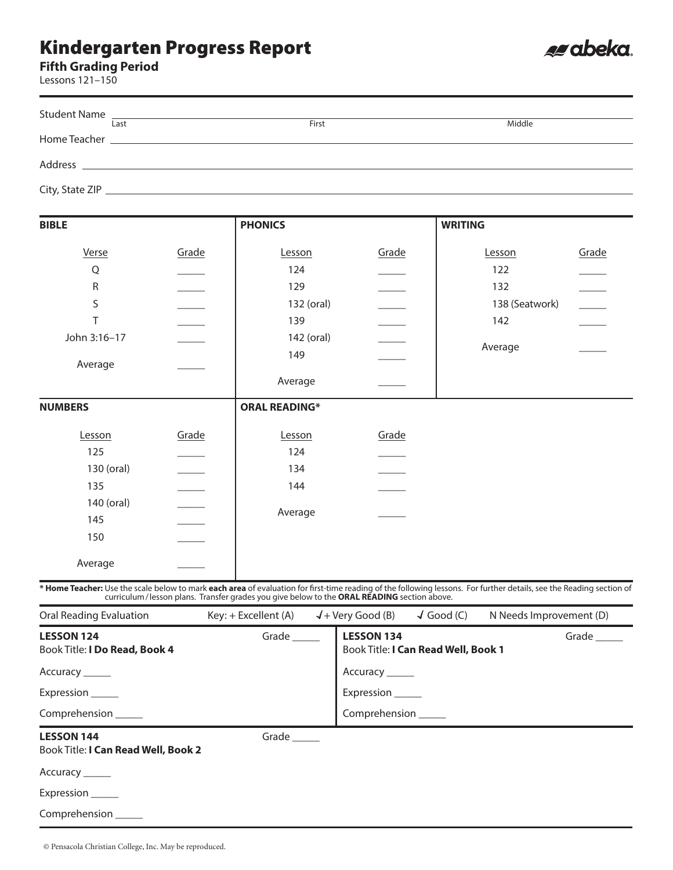**Fifth Grading Period**

Lessons 121–150

| Lessons 121-150                                                           |                                 |                                                                                            |                                                                   |                                                                                                                                                                      |                          |
|---------------------------------------------------------------------------|---------------------------------|--------------------------------------------------------------------------------------------|-------------------------------------------------------------------|----------------------------------------------------------------------------------------------------------------------------------------------------------------------|--------------------------|
| <b>Student Name</b><br>Last                                               |                                 | First                                                                                      |                                                                   |                                                                                                                                                                      |                          |
|                                                                           |                                 |                                                                                            |                                                                   | Middle                                                                                                                                                               |                          |
|                                                                           |                                 |                                                                                            |                                                                   |                                                                                                                                                                      |                          |
|                                                                           |                                 |                                                                                            |                                                                   |                                                                                                                                                                      |                          |
| <b>BIBLE</b>                                                              |                                 | <b>PHONICS</b>                                                                             |                                                                   | <b>WRITING</b>                                                                                                                                                       |                          |
| Verse                                                                     | Grade                           | Lesson                                                                                     | Grade                                                             | Lesson                                                                                                                                                               | Grade                    |
| Q                                                                         |                                 | 124                                                                                        |                                                                   | 122                                                                                                                                                                  |                          |
| R                                                                         | $\mathcal{L}$ and $\mathcal{L}$ | 129                                                                                        |                                                                   | 132                                                                                                                                                                  |                          |
| S                                                                         |                                 | 132 (oral)                                                                                 | ______                                                            | 138 (Seatwork)                                                                                                                                                       | $\overline{\phantom{a}}$ |
| T                                                                         |                                 | 139                                                                                        |                                                                   | 142                                                                                                                                                                  |                          |
| John 3:16-17                                                              |                                 | 142 (oral)                                                                                 |                                                                   |                                                                                                                                                                      |                          |
|                                                                           |                                 | 149                                                                                        |                                                                   | Average                                                                                                                                                              |                          |
| Average                                                                   |                                 |                                                                                            |                                                                   |                                                                                                                                                                      |                          |
|                                                                           |                                 | Average                                                                                    |                                                                   |                                                                                                                                                                      |                          |
| <b>NUMBERS</b>                                                            |                                 | <b>ORAL READING*</b>                                                                       |                                                                   |                                                                                                                                                                      |                          |
| Lesson                                                                    | Grade                           | Lesson                                                                                     | Grade                                                             |                                                                                                                                                                      |                          |
| 125                                                                       |                                 | 124                                                                                        |                                                                   |                                                                                                                                                                      |                          |
| 130 (oral)                                                                |                                 | 134                                                                                        |                                                                   |                                                                                                                                                                      |                          |
| 135                                                                       | $\overline{\phantom{a}}$        | 144                                                                                        |                                                                   |                                                                                                                                                                      |                          |
| 140 (oral)                                                                |                                 |                                                                                            |                                                                   |                                                                                                                                                                      |                          |
| 145                                                                       |                                 | Average                                                                                    |                                                                   |                                                                                                                                                                      |                          |
| 150                                                                       |                                 |                                                                                            |                                                                   |                                                                                                                                                                      |                          |
| Average                                                                   |                                 |                                                                                            |                                                                   |                                                                                                                                                                      |                          |
|                                                                           |                                 |                                                                                            |                                                                   | * Home Teacher: Use the scale below to mark each area of evaluation for first-time reading of the following lessons. For further details, see the Reading section of |                          |
|                                                                           |                                 | curriculum/lesson plans. Transfer grades you give below to the ORAL READING section above. |                                                                   |                                                                                                                                                                      |                          |
| <b>Oral Reading Evaluation</b>                                            |                                 | Key: + Excellent (A)                                                                       | $\sqrt{ }$ + Very Good (B)                                        | $\sqrt{}$ Good (C)                                                                                                                                                   | N Needs Improvement (D)  |
| Grade $\_\_\_\_\_\$<br><b>LESSON 124</b><br>Book Title: I Do Read, Book 4 |                                 |                                                                                            | <b>LESSON 134</b><br>Grade<br>Book Title: I Can Read Well, Book 1 |                                                                                                                                                                      |                          |
| Accuracy ______                                                           |                                 |                                                                                            | Accuracy ______                                                   |                                                                                                                                                                      |                          |
| Expression                                                                |                                 |                                                                                            | Expression                                                        |                                                                                                                                                                      |                          |

e abeka.

Comprehension \_\_\_\_\_

Comprehension \_\_\_\_\_

**LESSON 144** Grade \_\_\_\_\_\_

Book Title: **I Can Read Well, Book 2**

Accuracy \_\_\_\_\_\_

Expression \_\_\_\_\_\_

Comprehension \_\_\_\_\_